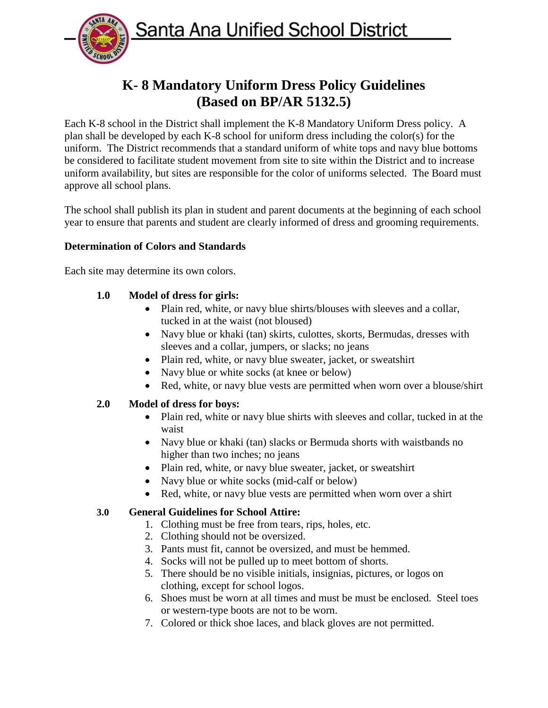Santa Ana Unified School District



# **K- 8 Mandatory Uniform Dress Policy Guidelines (Based on BP/AR 5132.5)**

Each K-8 school in the District shall implement the K-8 Mandatory Uniform Dress policy. A plan shall be developed by each K-8 school for uniform dress including the color(s) for the uniform. The District recommends that a standard uniform of white tops and navy blue bottoms be considered to facilitate student movement from site to site within the District and to increase uniform availability, but sites are responsible for the color of uniforms selected. The Board must approve all school plans.

The school shall publish its plan in student and parent documents at the beginning of each school year to ensure that parents and student are clearly informed of dress and grooming requirements.

# **Determination of Colors and Standards**

Each site may determine its own colors.

# **1.0 Model of dress for girls:**

- Plain red, white, or navy blue shirts/blouses with sleeves and a collar, tucked in at the waist (not bloused)
- Navy blue or khaki (tan) skirts, culottes, skorts, Bermudas, dresses with sleeves and a collar, jumpers, or slacks; no jeans
- Plain red, white, or navy blue sweater, jacket, or sweatshirt
- Navy blue or white socks (at knee or below)
- Red, white, or navy blue vests are permitted when worn over a blouse/shirt

## **2.0 Model of dress for boys:**

- Plain red, white or navy blue shirts with sleeves and collar, tucked in at the waist
- Navy blue or khaki (tan) slacks or Bermuda shorts with waistbands no higher than two inches; no jeans
- Plain red, white, or navy blue sweater, jacket, or sweatshirt
- Navy blue or white socks (mid-calf or below)
- Red, white, or navy blue vests are permitted when worn over a shirt

## **3.0 General Guidelines for School Attire:**

- 1. Clothing must be free from tears, rips, holes, etc.
- 2. Clothing should not be oversized.
- 3. Pants must fit, cannot be oversized, and must be hemmed.
- 4. Socks will not be pulled up to meet bottom of shorts.
- 5. There should be no visible initials, insignias, pictures, or logos on clothing, except for school logos.
- 6. Shoes must be worn at all times and must be must be enclosed. Steel toes or western-type boots are not to be worn.
- 7. Colored or thick shoe laces, and black gloves are not permitted.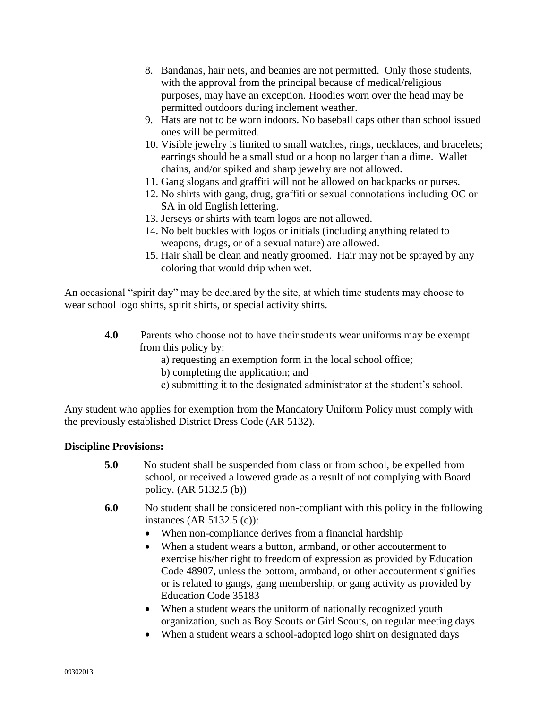- 8. Bandanas, hair nets, and beanies are not permitted. Only those students, with the approval from the principal because of medical/religious purposes, may have an exception. Hoodies worn over the head may be permitted outdoors during inclement weather.
- 9. Hats are not to be worn indoors. No baseball caps other than school issued ones will be permitted.
- 10. Visible jewelry is limited to small watches, rings, necklaces, and bracelets; earrings should be a small stud or a hoop no larger than a dime. Wallet chains, and/or spiked and sharp jewelry are not allowed.
- 11. Gang slogans and graffiti will not be allowed on backpacks or purses.
- 12. No shirts with gang, drug, graffiti or sexual connotations including OC or SA in old English lettering.
- 13. Jerseys or shirts with team logos are not allowed.
- 14. No belt buckles with logos or initials (including anything related to weapons, drugs, or of a sexual nature) are allowed.
- 15. Hair shall be clean and neatly groomed. Hair may not be sprayed by any coloring that would drip when wet.

An occasional "spirit day" may be declared by the site, at which time students may choose to wear school logo shirts, spirit shirts, or special activity shirts.

- **4.0** Parents who choose not to have their students wear uniforms may be exempt from this policy by:
	- a) requesting an exemption form in the local school office;
	- b) completing the application; and
	- c) submitting it to the designated administrator at the student's school.

Any student who applies for exemption from the Mandatory Uniform Policy must comply with the previously established District Dress Code (AR 5132).

#### **Discipline Provisions:**

- **5.0** No student shall be suspended from class or from school, be expelled from school, or received a lowered grade as a result of not complying with Board policy. (AR 5132.5 (b))
- **6.0** No student shall be considered non-compliant with this policy in the following instances (AR 5132.5 (c)):
	- When non-compliance derives from a financial hardship
	- When a student wears a button, armband, or other accouterment to exercise his/her right to freedom of expression as provided by Education Code 48907, unless the bottom, armband, or other accouterment signifies or is related to gangs, gang membership, or gang activity as provided by Education Code 35183
	- When a student wears the uniform of nationally recognized youth organization, such as Boy Scouts or Girl Scouts, on regular meeting days
	- When a student wears a school-adopted logo shirt on designated days